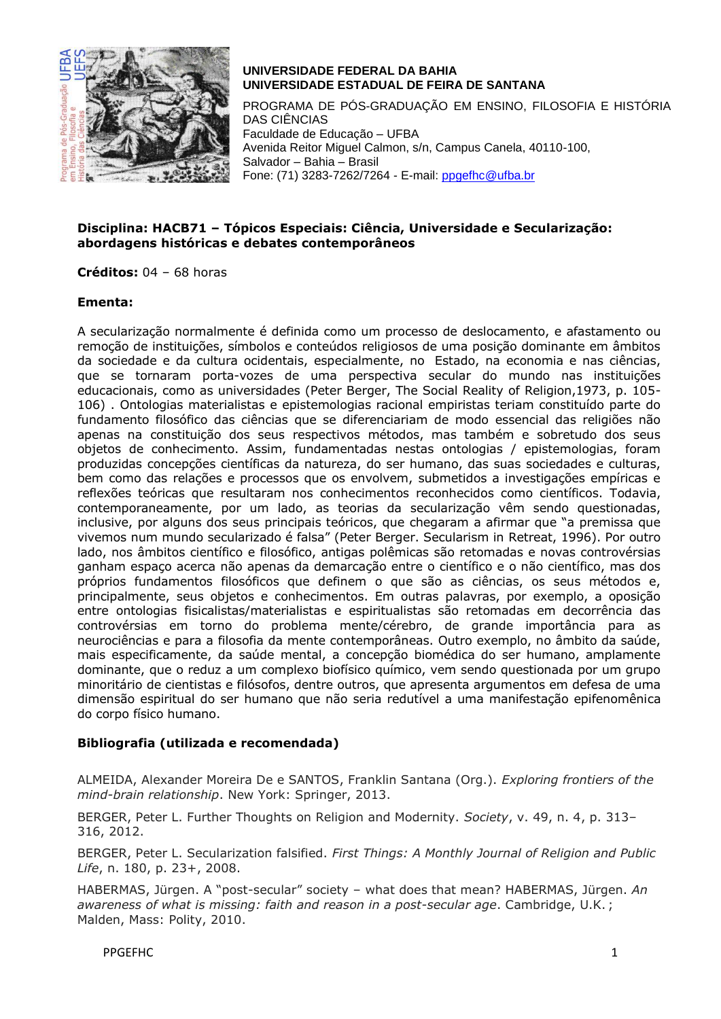

# **UNIVERSIDADE FEDERAL DA BAHIA UNIVERSIDADE ESTADUAL DE FEIRA DE SANTANA**

PROGRAMA DE PÓS-GRADUAÇÃO EM ENSINO, FILOSOFIA E HISTÓRIA DAS CIÊNCIAS Faculdade de Educação – UFBA Avenida Reitor Miguel Calmon, s/n, Campus Canela, 40110-100, Salvador – Bahia – Brasil Fone: (71) 3283-7262/7264 - E-mail: [ppgefhc@ufba.br](mailto:ppgefhc@ufba.br)

#### **Disciplina: HACB71 – Tópicos Especiais: Ciência, Universidade e Secularização: abordagens históricas e debates contemporâneos**

**Créditos:** 04 – 68 horas

#### **Ementa:**

A secularização normalmente é definida como um processo de deslocamento, e afastamento ou remoção de instituições, símbolos e conteúdos religiosos de uma posição dominante em âmbitos da sociedade e da cultura ocidentais, especialmente, no Estado, na economia e nas ciências, que se tornaram porta-vozes de uma perspectiva secular do mundo nas instituições educacionais, como as universidades (Peter Berger, The Social Reality of Religion,1973, p. 105- 106) . Ontologias materialistas e epistemologias racional empiristas teriam constituído parte do fundamento filosófico das ciências que se diferenciariam de modo essencial das religiões não apenas na constituição dos seus respectivos métodos, mas também e sobretudo dos seus objetos de conhecimento. Assim, fundamentadas nestas ontologias / epistemologias, foram produzidas concepções científicas da natureza, do ser humano, das suas sociedades e culturas, bem como das relações e processos que os envolvem, submetidos a investigações empíricas e reflexões teóricas que resultaram nos conhecimentos reconhecidos como científicos. Todavia, contemporaneamente, por um lado, as teorias da secularização vêm sendo questionadas, inclusive, por alguns dos seus principais teóricos, que chegaram a afirmar que "a premissa que vivemos num mundo secularizado é falsa" (Peter Berger. Secularism in Retreat, 1996). Por outro lado, nos âmbitos científico e filosófico, antigas polêmicas são retomadas e novas controvérsias ganham espaço acerca não apenas da demarcação entre o científico e o não científico, mas dos próprios fundamentos filosóficos que definem o que são as ciências, os seus métodos e, principalmente, seus objetos e conhecimentos. Em outras palavras, por exemplo, a oposição entre ontologias fisicalistas/materialistas e espiritualistas são retomadas em decorrência das controvérsias em torno do problema mente/cérebro, de grande importância para as neurociências e para a filosofia da mente contemporâneas. Outro exemplo, no âmbito da saúde, mais especificamente, da saúde mental, a concepção biomédica do ser humano, amplamente dominante, que o reduz a um complexo biofísico químico, vem sendo questionada por um grupo minoritário de cientistas e filósofos, dentre outros, que apresenta argumentos em defesa de uma dimensão espiritual do ser humano que não seria redutível a uma manifestação epifenomênica do corpo físico humano.

## **Bibliografia (utilizada e recomendada)**

ALMEIDA, Alexander Moreira De e SANTOS, Franklin Santana (Org.). *Exploring frontiers of the mind-brain relationship*. New York: Springer, 2013.

BERGER, Peter L. Further Thoughts on Religion and Modernity. *Society*, v. 49, n. 4, p. 313– 316, 2012.

BERGER, Peter L. Secularization falsified. *First Things: A Monthly Journal of Religion and Public Life*, n. 180, p. 23+, 2008.

HABERMAS, Jürgen. A "post-secular" society – what does that mean? HABERMAS, Jürgen. *An awareness of what is missing: faith and reason in a post-secular age*. Cambridge, U.K. ; Malden, Mass: Polity, 2010.

PPGEFHC 1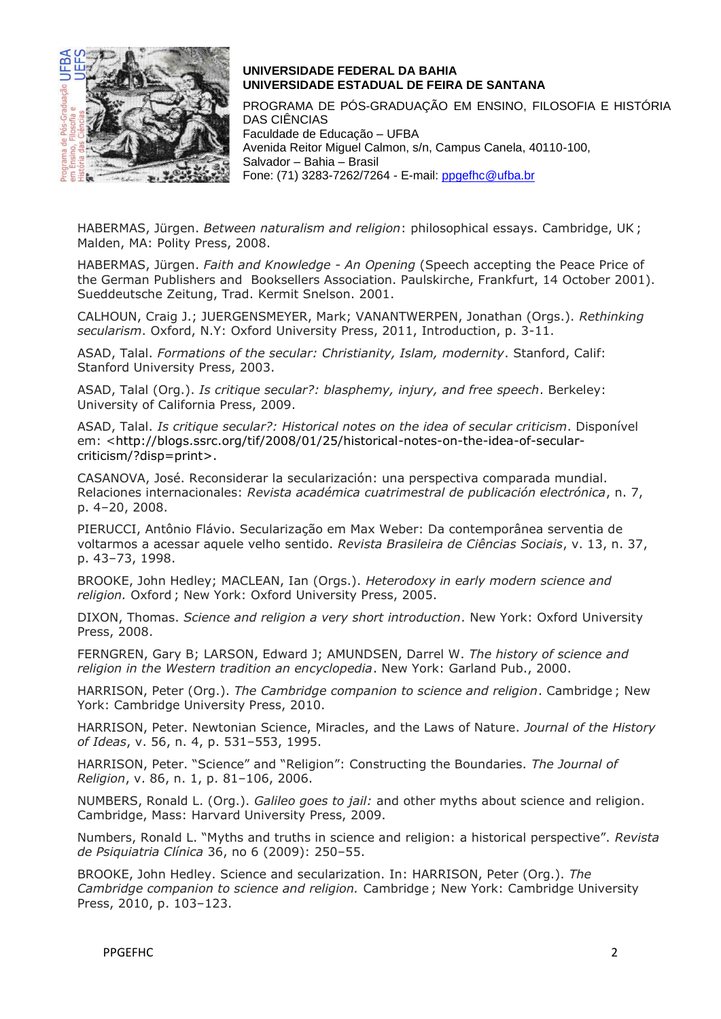

## **UNIVERSIDADE FEDERAL DA BAHIA UNIVERSIDADE ESTADUAL DE FEIRA DE SANTANA**

PROGRAMA DE PÓS-GRADUAÇÃO EM ENSINO, FILOSOFIA E HISTÓRIA DAS CIÊNCIAS Faculdade de Educação – UFBA Avenida Reitor Miguel Calmon, s/n, Campus Canela, 40110-100, Salvador – Bahia – Brasil Fone: (71) 3283-7262/7264 - E-mail: [ppgefhc@ufba.br](mailto:ppgefhc@ufba.br)

HABERMAS, Jürgen. *Between naturalism and religion*: philosophical essays. Cambridge, UK ; Malden, MA: Polity Press, 2008.

HABERMAS, Jürgen. *Faith and Knowledge - An Opening* (Speech accepting the Peace Price of the German Publishers and Booksellers Association. Paulskirche, Frankfurt, 14 October 2001). Sueddeutsche Zeitung, Trad. Kermit Snelson. 2001.

CALHOUN, Craig J.; JUERGENSMEYER, Mark; VANANTWERPEN, Jonathan (Orgs.). *Rethinking secularism*. Oxford, N.Y: Oxford University Press, 2011, Introduction, p. 3-11.

ASAD, Talal. *Formations of the secular: Christianity, Islam, modernity*. Stanford, Calif: Stanford University Press, 2003.

ASAD, Talal (Org.). *Is critique secular?: blasphemy, injury, and free speech*. Berkeley: University of California Press, 2009.

ASAD, Talal. *Is critique secular?: Historical notes on the idea of secular criticism*. Disponível em: [<http://blogs.ssrc.org/tif/2008/01/25/historical-notes-on-the-idea-of-secular](http://blogs.ssrc.org/tif/2008/01/25/historical-notes-on-the-idea-of-secular-criticism/?disp=print)[criticism/?disp=print>](http://blogs.ssrc.org/tif/2008/01/25/historical-notes-on-the-idea-of-secular-criticism/?disp=print).

CASANOVA, José. Reconsiderar la secularización: una perspectiva comparada mundial. Relaciones internacionales: *Revista académica cuatrimestral de publicación electrónica*, n. 7, p. 4–20, 2008.

PIERUCCI, Antônio Flávio. Secularização em Max Weber: Da contemporânea serventia de voltarmos a acessar aquele velho sentido. *Revista Brasileira de Ciências Sociais*, v. 13, n. 37, p. 43–73, 1998.

BROOKE, John Hedley; MACLEAN, Ian (Orgs.). *Heterodoxy in early modern science and religion.* Oxford ; New York: Oxford University Press, 2005.

DIXON, Thomas. *Science and religion a very short introduction*. New York: Oxford University Press, 2008.

FERNGREN, Gary B; LARSON, Edward J; AMUNDSEN, Darrel W. *The history of science and religion in the Western tradition an encyclopedia*. New York: Garland Pub., 2000.

HARRISON, Peter (Org.). *The Cambridge companion to science and religion*. Cambridge ; New York: Cambridge University Press, 2010.

HARRISON, Peter. Newtonian Science, Miracles, and the Laws of Nature. *Journal of the History of Ideas*, v. 56, n. 4, p. 531–553, 1995.

HARRISON, Peter. "Science" and "Religion": Constructing the Boundaries. *The Journal of Religion*, v. 86, n. 1, p. 81–106, 2006.

NUMBERS, Ronald L. (Org.). *Galileo goes to jail:* and other myths about science and religion. Cambridge, Mass: Harvard University Press, 2009.

Numbers, Ronald L. "Myths and truths in science and religion: a historical perspective". *Revista de Psiquiatria Clínica* 36, no 6 (2009): 250–55.

BROOKE, John Hedley. Science and secularization. In: HARRISON, Peter (Org.). *The Cambridge companion to science and religion.* Cambridge ; New York: Cambridge University Press, 2010, p. 103–123.